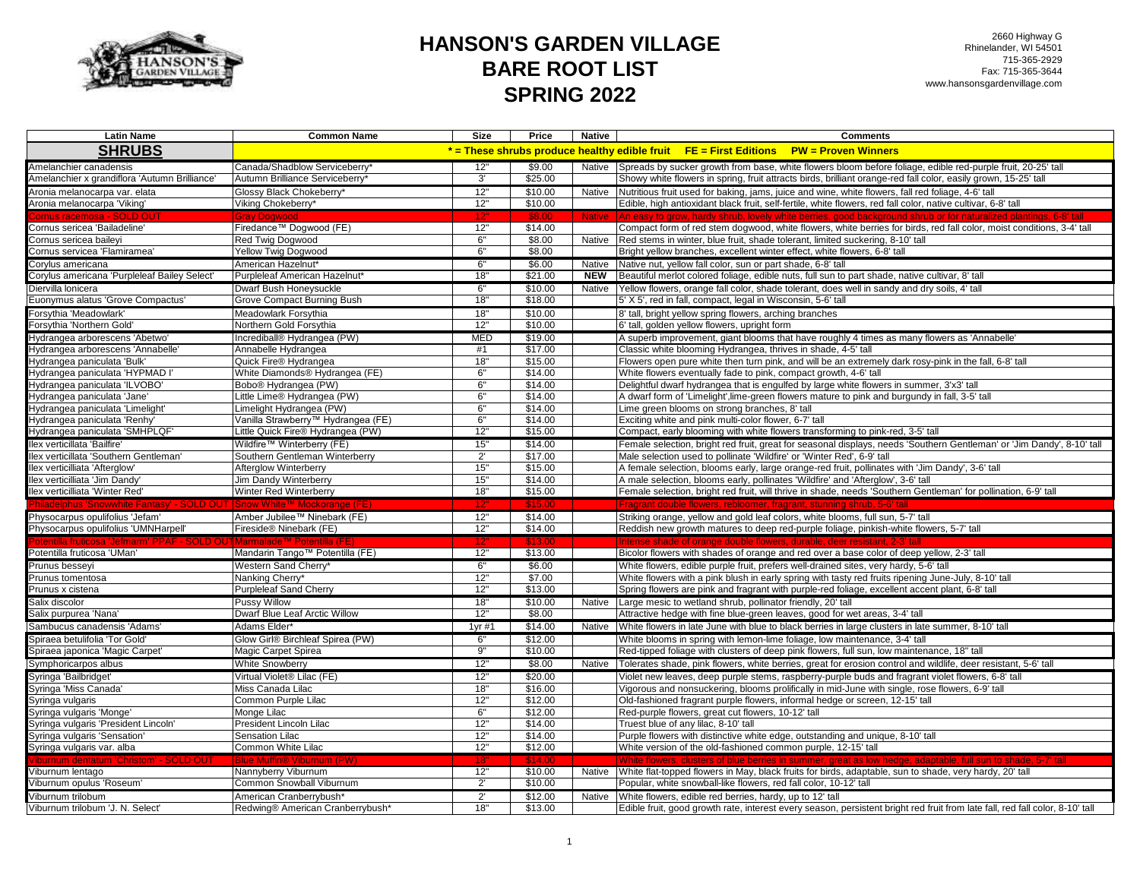

2660 Highway G Rhinelander, WI 54501 715-365-2929 Fax: 715-365-3644 www.hansonsgardenvillage.com

| <b>Latin Name</b>                                                | <b>Common Name</b>                                   | Size         | Price              | Native        | <b>Comments</b>                                                                                                                                                                                                           |
|------------------------------------------------------------------|------------------------------------------------------|--------------|--------------------|---------------|---------------------------------------------------------------------------------------------------------------------------------------------------------------------------------------------------------------------------|
| <b>SHRUBS</b>                                                    |                                                      |              |                    |               | * = These shrubs produce healthy edible fruit FE = First Editions PW = Proven Winners                                                                                                                                     |
| Amelanchier canadensis                                           | Canada/Shadblow Serviceberry'                        | 12"          | \$9.00             |               | Native Spreads by sucker growth from base, white flowers bloom before foliage, edible red-purple fruit, 20-25' tall                                                                                                       |
| Amelanchier x grandiflora 'Autumn Brilliance'                    | Autumn Brilliance Serviceberry*                      | 3'           | \$25.00            |               | Showy white flowers in spring, fruit attracts birds, brilliant orange-red fall color, easily grown, 15-25' tall                                                                                                           |
| Aronia melanocarpa var. elata                                    | Glossy Black Chokeberry*                             | 12"          | \$10.00            | Native        | Nutritious fruit used for baking, jams, juice and wine, white flowers, fall red foliage, 4-6' tall                                                                                                                        |
| Aronia melanocarpa 'Viking'                                      | Viking Chokeberry*                                   | 12"          | \$10.00            |               | Edible, high antioxidant black fruit, self-fertile, white flowers, red fall color, native cultivar, 6-8' tall                                                                                                             |
|                                                                  |                                                      |              | S8 (               | <b>Native</b> |                                                                                                                                                                                                                           |
| Cornus sericea 'Bailadeline'                                     | Firedance™ Dogwood (FE)                              | 12"          | \$14.00            |               | Compact form of red stem dogwood, white flowers, white berries for birds, red fall color, moist conditions, 3-4' tall                                                                                                     |
| Cornus sericea baileyi                                           | Red Twig Dogwood                                     | 6"           | \$8.00             | Native        | Red stems in winter, blue fruit, shade tolerant, limited suckering, 8-10' tall                                                                                                                                            |
| Cornus servicea 'Flamiramea'                                     | <b>Yellow Twig Dogwood</b>                           | 6"           | \$8.00             |               | Bright yellow branches, excellent winter effect, white flowers, 6-8' tall                                                                                                                                                 |
| Corylus americana                                                | American Hazelnut*                                   | 6"           | \$6.00             | Native        | Native nut, yellow fall color, sun or part shade, 6-8' tall                                                                                                                                                               |
| Corylus americana 'Purpleleaf Bailey Select'                     | Purpleleaf American Hazelnut*                        | 18"          | \$21.00            | <b>NEW</b>    | Beautiful merlot colored foliage, edible nuts, full sun to part shade, native cultivar, 8' tall                                                                                                                           |
| Diervilla lonicera                                               | Dwarf Bush Honeysuckle                               | 6"           | \$10.00            | Native        | Yellow flowers, orange fall color, shade tolerant, does well in sandy and dry soils, 4' tall                                                                                                                              |
| Euonymus alatus 'Grove Compactus'                                | Grove Compact Burning Bush                           | 18"          | \$18.00            |               | 5' X 5', red in fall, compact, legal in Wisconsin, 5-6' tall                                                                                                                                                              |
| Forsythia 'Meadowlark'                                           | Meadowlark Forsythia                                 | 18"          | \$10.00            |               | 8' tall, bright yellow spring flowers, arching branches                                                                                                                                                                   |
| Forsythia 'Northern Gold'                                        | Northern Gold Forsythia                              | 12"          | \$10.00            |               | 6' tall, golden yellow flowers, upright form                                                                                                                                                                              |
| Hydrangea arborescens 'Abetwo'                                   | Incrediball® Hydrangea (PW)                          | <b>MED</b>   | \$19.00            |               | A superb improvement, giant blooms that have roughly 4 times as many flowers as 'Annabelle'                                                                                                                               |
| Hydrangea arborescens 'Annabelle'                                | Annabelle Hydrangea                                  | #1           | \$17.00            |               | Classic white blooming Hydrangea, thrives in shade, 4-5' tall                                                                                                                                                             |
| Hydrangea paniculata 'Bulk'                                      | Quick Fire® Hydrangea                                | 18"          | \$15.00            |               | Flowers open pure white then turn pink, and will be an extremely dark rosy-pink in the fall, 6-8' tall                                                                                                                    |
| Hydrangea paniculata 'HYPMAD I'                                  | White Diamonds® Hydrangea (FE)                       | 6"           | \$14.00            |               | White flowers eventually fade to pink, compact growth, 4-6' tall                                                                                                                                                          |
| Hydrangea paniculata 'ILVOBO'                                    | Bobo® Hydrangea (PW)                                 | 6"           | \$14.00            |               | Delightful dwarf hydrangea that is engulfed by large white flowers in summer, 3'x3' tall                                                                                                                                  |
| Hydrangea paniculata 'Jane'                                      | Little Lime® Hydrangea (PW)                          | 6"           | \$14.00            |               | A dwarf form of 'Limelight', lime-green flowers mature to pink and burgundy in fall, 3-5' tall                                                                                                                            |
| Hydrangea paniculata 'Limelight'                                 | Limelight Hydrangea (PW)                             | 6"           | \$14.00            |               | Lime green blooms on strong branches, 8' tall                                                                                                                                                                             |
| Hydrangea paniculata 'Renhy'                                     | Vanilla Strawberry™ Hydrangea (FE)                   | 6"           | \$14.00            |               | Exciting white and pink multi-color flower, 6-7' tall                                                                                                                                                                     |
| Hydrangea paniculata 'SMHPLQF'                                   | Little Quick Fire® Hydrangea (PW)                    | 12"          | \$15.00            |               | Compact, early blooming with white flowers transforming to pink-red, 3-5' tall                                                                                                                                            |
| llex verticillata 'Bailfire'                                     | Wildfire™ Winterberry (FE)                           | 15"          | \$14.00            |               | Female selection, bright red fruit, great for seasonal displays, needs 'Southern Gentleman' or 'Jim Dandy', 8-10' tall                                                                                                    |
| Ilex verticillata 'Southern Gentleman'                           | Southern Gentleman Winterberry                       | $2^{\prime}$ | \$17.00            |               | Male selection used to pollinate 'Wildfire' or 'Winter Red', 6-9' tall                                                                                                                                                    |
| llex verticilliata 'Afterglow'                                   | Afterglow Winterberry                                | 15"          | \$15.00            |               | A female selection, blooms early, large orange-red fruit, pollinates with 'Jim Dandy', 3-6' tall                                                                                                                          |
| Ilex verticilliata 'Jim Dandy'                                   | Jim Dandy Winterberry                                | 15"          | \$14.00            |               | A male selection, blooms early, pollinates 'Wildfire' and 'Afterglow', 3-6' tall                                                                                                                                          |
| Ilex verticilliata 'Winter Red'                                  | Winter Red Winterberry                               | 18"          | \$15.00            |               | Female selection, bright red fruit, will thrive in shade, needs 'Southern Gentleman' for pollination, 6-9' tall                                                                                                           |
|                                                                  |                                                      |              |                    |               |                                                                                                                                                                                                                           |
| Physocarpus opulifolius 'Jefam'                                  | Amber Jubilee™ Ninebark (FE)                         | 12"          | \$14.00            |               | Striking orange, yellow and gold leaf colors, white blooms, full sun, 5-7' tall                                                                                                                                           |
| Physocarpus opulifolius 'UMNHarpell'                             | Fireside® Ninebark (FE)                              | 12"          | \$14.00            |               | Reddish new growth matures to deep red-purple foliage, pinkish-white flowers, 5-7' tall                                                                                                                                   |
|                                                                  |                                                      |              |                    |               |                                                                                                                                                                                                                           |
| Potentilla fruticosa 'UMan'                                      | Mandarin Tango <sup>™</sup> Potentilla (FE)          | 12"          | \$13.00            |               | Bicolor flowers with shades of orange and red over a base color of deep yellow, 2-3' tall                                                                                                                                 |
| Prunus besseyi                                                   | Western Sand Cherry*                                 | 6"           | \$6.00             |               | White flowers, edible purple fruit, prefers well-drained sites, very hardy, 5-6' tall                                                                                                                                     |
| Prunus tomentosa                                                 | Nanking Cherry*                                      | 12"          | \$7.00             |               | White flowers with a pink blush in early spring with tasty red fruits ripening June-July, 8-10' tall                                                                                                                      |
| Prunus x cistena                                                 | <b>Purpleleaf Sand Cherry</b>                        | 12"          | \$13.00            |               | Spring flowers are pink and fragrant with purple-red foliage, excellent accent plant, 6-8' tall                                                                                                                           |
| Salix discolor                                                   | <b>Pussy Willow</b><br>Dwarf Blue Leaf Arctic Willow | 18"<br>12"   | \$10.00<br>\$8.00  | Native        | Large mesic to wetland shrub, pollinator friendly, 20' tall                                                                                                                                                               |
| Salix purpurea 'Nana'                                            |                                                      |              | \$14.00            |               | Attractive hedge with fine blue-green leaves, good for wet areas, 3-4' tall                                                                                                                                               |
| Sambucus canadensis 'Adams'                                      | Adams Elder*                                         | 1vr#1        |                    |               | Native White flowers in late June with blue to black berries in large clusters in late summer, 8-10' tall                                                                                                                 |
| Spiraea betulifolia 'Tor Gold'                                   | Glow Girl® Birchleaf Spirea (PW)                     | 6"           | \$12.00            |               | White blooms in spring with lemon-lime foliage, low maintenance, 3-4' tall                                                                                                                                                |
| Spiraea japonica 'Magic Carpet'                                  | Magic Carpet Spirea                                  | 9"           | \$10.00            |               | Red-tipped foliage with clusters of deep pink flowers, full sun, low maintenance, 18" tall                                                                                                                                |
| Symphoricarpos albus                                             | White Snowberry                                      | 12"          | \$8.00             |               | Native   Tolerates shade, pink flowers, white berries, great for erosion control and wildlife, deer resistant, 5-6' tall                                                                                                  |
| Syringa 'Bailbridget'                                            | Virtual Violet <sup>®</sup> Lilac (FE)               | 12"          | \$20.00            |               | Violet new leaves, deep purple stems, raspberry-purple buds and fragrant violet flowers, 6-8' tall                                                                                                                        |
| Syringa 'Miss Canada'                                            | Miss Canada Lilac                                    | 18"          | \$16.00            |               | Vigorous and nonsuckering, blooms prolifically in mid-June with single, rose flowers, 6-9' tall                                                                                                                           |
| Syringa vulgaris                                                 | Common Purple Lilac                                  | 12"          | \$12.00            |               | Old-fashioned fragrant purple flowers, informal hedge or screen, 12-15' tall                                                                                                                                              |
| Syringa vulgaris 'Monge'<br>Syringa vulgaris 'President Lincoln' | Monge Lilac<br>President Lincoln Lilac               | 6"           | \$12.00            |               | Red-purple flowers, great cut flowers, 10-12' tall<br>Truest blue of any lilac, 8-10' tall                                                                                                                                |
|                                                                  | Sensation Lilac                                      | 12"<br>12"   | \$14.00<br>\$14.00 |               |                                                                                                                                                                                                                           |
| Syringa vulgaris 'Sensation'<br>Syringa vulgaris var. alba       | Common White Lilac                                   | 12"          | \$12.00            |               | Purple flowers with distinctive white edge, outstanding and unique, 8-10' tall<br>White version of the old-fashioned common purple, 12-15' tall                                                                           |
|                                                                  | <b>Blue Muffin® Viburnum (PW)</b>                    |              |                    |               |                                                                                                                                                                                                                           |
| burnum dentatum 'Christom' - SOLD OUT<br>Viburnum lentago        | Nannyberry Viburnum                                  | 18"<br>12"   | \$14.00<br>\$10.00 | Native        | White flowers, clusters of blue berries in summer, great as low hedge, adaptable, full sun to shade, 5-7' tall<br>White flat-topped flowers in May, black fruits for birds, adaptable, sun to shade, very hardy, 20' tall |
| Viburnum opulus 'Roseum'                                         | Common Snowball Viburnum                             | $2^{\circ}$  | \$10.00            |               | Popular, white snowball-like flowers, red fall color, 10-12' tall                                                                                                                                                         |
| Viburnum trilobum                                                | American Cranberrybush*                              | $2^{\prime}$ | \$12.00            | Native        | White flowers, edible red berries, hardy, up to 12' tall                                                                                                                                                                  |
| Viburnum trilobum 'J. N. Select'                                 | Redwing® American Cranberrybush*                     | 18"          | \$13.00            |               | Edible fruit, good growth rate, interest every season, persistent bright red fruit from late fall, red fall color, 8-10' tall                                                                                             |
|                                                                  |                                                      |              |                    |               |                                                                                                                                                                                                                           |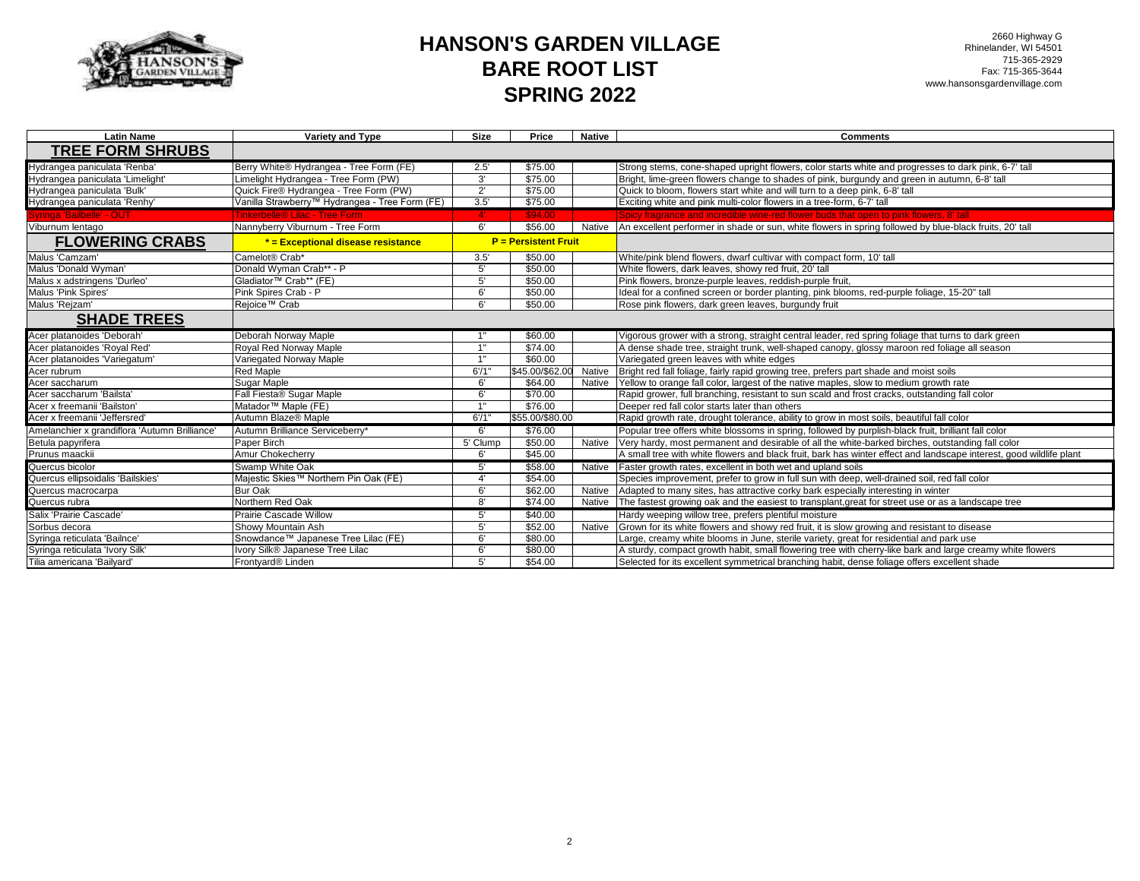

2660 Highway G Rhinelander, WI 54501 715-365-2929 Fax: 715-365-3644 www.hansonsgardenvillage.com

| <b>Latin Name</b>                                             | Variety and Type                               | <b>Size</b>           | Price                       | <b>Native</b> | <b>Comments</b>                                                                                                     |
|---------------------------------------------------------------|------------------------------------------------|-----------------------|-----------------------------|---------------|---------------------------------------------------------------------------------------------------------------------|
| <b>TREE FORM SHRUBS</b>                                       |                                                |                       |                             |               |                                                                                                                     |
| Hydrangea paniculata 'Renba'                                  | Berry White® Hydrangea - Tree Form (FE)        | 2.5'                  | \$75.00                     |               | Strong stems, cone-shaped upright flowers, color starts white and progresses to dark pink, 6-7' tall                |
| Hydrangea paniculata 'Limelight'                              | Limelight Hydrangea - Tree Form (PW)           | 3'                    | \$75.00                     |               | Bright, lime-green flowers change to shades of pink, burgundy and green in autumn, 6-8' tall                        |
| Hydrangea paniculata 'Bulk'                                   | Quick Fire® Hydrangea - Tree Form (PW)         | $2^{\prime}$          | \$75.00                     |               | Quick to bloom, flowers start white and will turn to a deep pink, 6-8' tall                                         |
| Hydrangea paniculata 'Renhy'                                  | Vanilla Strawberry™ Hydrangea - Tree Form (FE) | 3.5                   | \$75.00                     |               | Exciting white and pink multi-color flowers in a tree-form, 6-7' tall                                               |
| Syringa 'Bailbelle' - OUT                                     | Tinkerbelle® Lilac - Tree Form                 | $\mathbf{4}^{\prime}$ | \$94.00                     |               | Spicy fragrance and incredible wine-red flower buds that open to pink flowers, 8' tall                              |
| Viburnum lentago                                              | Nannyberry Viburnum - Tree Form                | 6'                    | \$56.00                     | Native        | An excellent performer in shade or sun, white flowers in spring followed by blue-black fruits, 20' tall             |
| <b>FLOWERING CRABS</b>                                        | * = Exceptional disease resistance             |                       | <b>P</b> = Persistent Fruit |               |                                                                                                                     |
| Malus 'Camzam'                                                | Camelot® Crab*                                 | 3.5'                  | \$50.00                     |               | White/pink blend flowers, dwarf cultivar with compact form, 10' tall                                                |
| Malus 'Donald Wyman'                                          | Donald Wyman Crab** - P                        | 5'                    | \$50.00                     |               | White flowers, dark leaves, showy red fruit, 20' tall                                                               |
| Malus x adstringens 'Durleo'                                  | Gladiator™ Crab** (FE)                         | 5'                    | \$50.00                     |               | Pink flowers, bronze-purple leaves, reddish-purple fruit,                                                           |
| Malus 'Pink Spires'                                           | Pink Spires Crab - P                           | 6'                    | \$50.00                     |               | Ideal for a confined screen or border planting, pink blooms, red-purple foliage, 15-20" tall                        |
| Malus 'Rejzam'                                                | Rejoice <sup>™</sup> Crab                      | 6'                    | \$50.00                     |               | Rose pink flowers, dark green leaves, burgundy fruit                                                                |
| <b>SHADE TREES</b>                                            |                                                |                       |                             |               |                                                                                                                     |
| Acer platanoides 'Deborah'                                    | Deborah Norway Maple                           |                       | \$60.00                     |               | Vigorous grower with a strong, straight central leader, red spring foliage that turns to dark green                 |
| Acer platanoides 'Royal Red'                                  | Royal Red Norway Maple                         | 1"                    | \$74.00                     |               | A dense shade tree, straight trunk, well-shaped canopy, glossy maroon red foliage all season                        |
| Acer platanoides 'Variegatum'                                 | Variegated Norway Maple                        | 1"                    | \$60.00                     |               | Variegated green leaves with white edges                                                                            |
| Acer rubrum                                                   | Red Maple                                      | 6'/1'                 | \$45.00/\$62.00             | Native        | Bright red fall foliage, fairly rapid growing tree, prefers part shade and moist soils                              |
| Acer saccharum                                                | Sugar Maple                                    | 6'                    | \$64.00                     | Native        | Yellow to orange fall color, largest of the native maples, slow to medium growth rate                               |
| Acer saccharum 'Bailsta'                                      | Fall Fiesta® Sugar Maple                       | 6'                    | \$70.00                     |               | Rapid grower, full branching, resistant to sun scald and frost cracks, outstanding fall color                       |
| Acer x freemanii 'Bailston'                                   | Matador <sup>™</sup> Maple (FE)                | 1"                    | \$76.00                     |               | Deeper red fall color starts later than others                                                                      |
| Acer x freemanii 'Jeffersred'                                 | Autumn Blaze® Maple                            | 6'/1'                 | \$55.00/\$80.00             |               | Rapid growth rate, drought tolerance, ability to grow in most soils, beautiful fall color                           |
| Amelanchier x grandiflora 'Autumn Brilliance'                 | Autumn Brilliance Serviceberry*                | 6'                    | \$76.00                     |               | Popular tree offers white blossoms in spring, followed by purplish-black fruit, brilliant fall color                |
| Betula papyrifera                                             | Paper Birch                                    | 5' Clump              | \$50.00                     | Native        | Very hardy, most permanent and desirable of all the white-barked birches, outstanding fall color                    |
| Prunus maackii                                                | <b>Amur Chokecherry</b>                        | 6'                    | \$45.00                     |               | A small tree with white flowers and black fruit, bark has winter effect and landscape interest, good wildlife plant |
| Quercus bicolor                                               | Swamp White Oak                                | 5'                    | \$58.00                     | Native        | Faster growth rates, excellent in both wet and upland soils                                                         |
| Quercus ellipsoidalis 'Bailskies'                             | Majestic Skies™ Northern Pin Oak (FE)          | 4'                    | \$54.00                     |               | Species improvement, prefer to grow in full sun with deep, well-drained soil, red fall color                        |
| Quercus macrocarpa                                            | Bur Oak                                        | 6'                    | \$62.00                     | Native        | Adapted to many sites, has attractive corky bark especially interesting in winter                                   |
| Quercus rubra                                                 | Northern Red Oak                               | 8'                    | \$74.00                     | Native        | The fastest growing oak and the easiest to transplant, great for street use or as a landscape tree                  |
| Salix 'Prairie Cascade'                                       | <b>Prairie Cascade Willow</b>                  | 5'                    | \$40.00                     |               | Hardy weeping willow tree, prefers plentiful moisture                                                               |
| Sorbus decora                                                 | Showy Mountain Ash                             | 5'                    | \$52.00                     | Native        | Grown for its white flowers and showy red fruit, it is slow growing and resistant to disease                        |
| Syringa reticulata 'Bailnce'                                  | Snowdance™ Japanese Tree Lilac (FE)            | 6'                    | \$80.00                     |               | Large, creamy white blooms in June, sterile variety, great for residential and park use                             |
| Syringa reticulata 'Ivory Silk'<br>Tilia americana 'Bailyard' | vory Silk® Japanese Tree Lilac                 | 6'                    | \$80.00                     |               | A sturdy, compact growth habit, small flowering tree with cherry-like bark and large creamy white flowers           |
|                                                               | Frontyard <sup>®</sup> Linden                  | 5'                    | \$54.00                     |               | Selected for its excellent symmetrical branching habit, dense foliage offers excellent shade                        |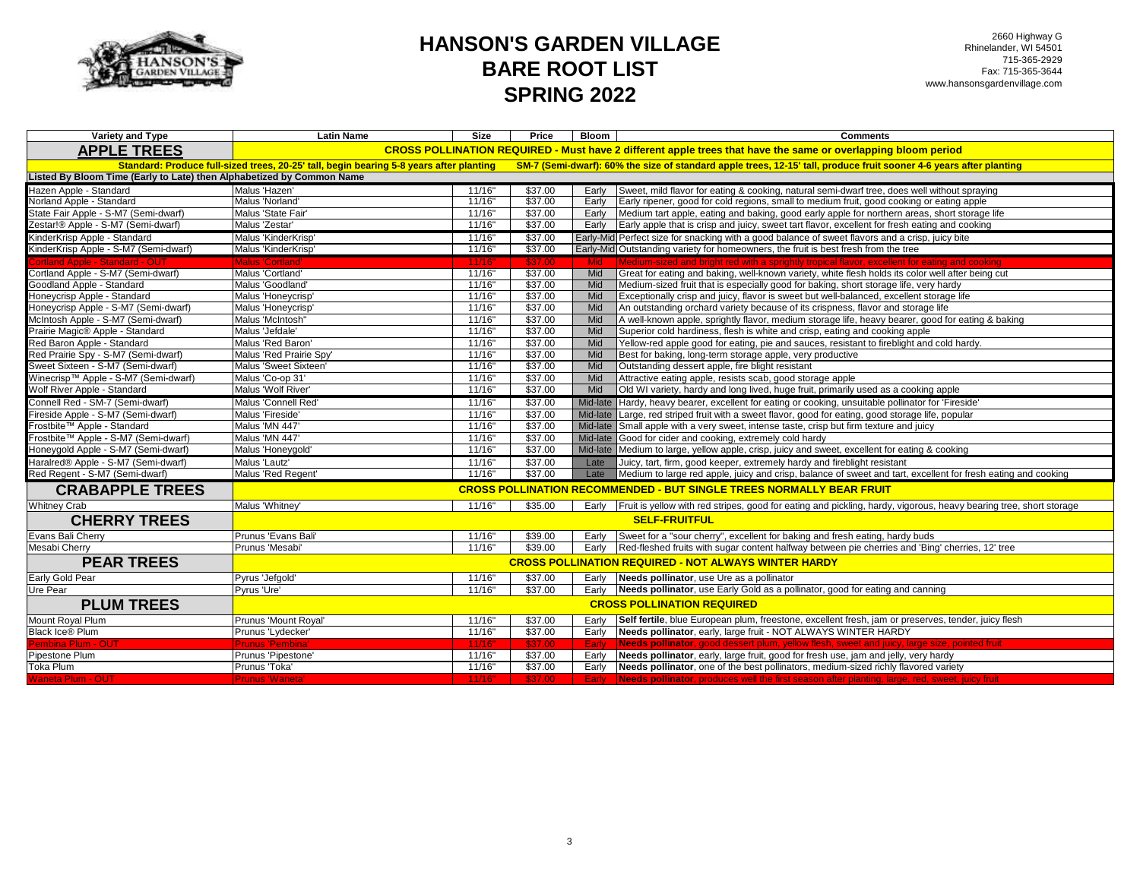

2660 Highway G Rhinelander, WI 54501 715-365-2929 Fax: 715-365-3644 www.hansonsgardenvillage.com

| Variety and Type                                                      | <b>Latin Name</b>                                           | Size                 | Price   | Bloom    | <b>Comments</b>                                                                                                                                                                                             |  |  |
|-----------------------------------------------------------------------|-------------------------------------------------------------|----------------------|---------|----------|-------------------------------------------------------------------------------------------------------------------------------------------------------------------------------------------------------------|--|--|
| <b>APPLE TREES</b>                                                    |                                                             |                      |         |          | CROSS POLLINATION REQUIRED - Must have 2 different apple trees that have the same or overlapping bloom period                                                                                               |  |  |
|                                                                       |                                                             |                      |         |          | Standard: Produce full-sized trees, 20-25' tall, begin bearing 5-8 years after planting SM-7 (Semi-dwarf): 60% the size of standard apple trees, 12-15' tall, produce fruit sooner 4-6 years after planting |  |  |
| Listed By Bloom Time (Early to Late) then Alphabetized by Common Name |                                                             |                      |         |          |                                                                                                                                                                                                             |  |  |
| Hazen Apple - Standard                                                | Malus 'Hazen'                                               | 11/16"               | \$37.00 | Early    | Sweet, mild flavor for eating & cooking, natural semi-dwarf tree, does well without spraying                                                                                                                |  |  |
| Norland Apple - Standard                                              | Malus 'Norland'                                             | 11/16"               | \$37.00 | Early    | Early ripener, good for cold regions, small to medium fruit, good cooking or eating apple                                                                                                                   |  |  |
| State Fair Apple - S-M7 (Semi-dwarf)                                  | Malus 'State Fair'                                          | 11/16"               | \$37.00 | Early    | Medium tart apple, eating and baking, good early apple for northern areas, short storage life                                                                                                               |  |  |
| Zestar!® Apple - S-M7 (Semi-dwarf)                                    | Malus 'Zestar'                                              | 11/16"               | \$37.00 | Early    | Early apple that is crisp and juicy, sweet tart flavor, excellent for fresh eating and cooking                                                                                                              |  |  |
| KinderKrisp Apple - Standard                                          | Malus 'KinderKrisp'                                         | 11/16"               | \$37.00 |          | Early-Mid Perfect size for snacking with a good balance of sweet flavors and a crisp, juicy bite                                                                                                            |  |  |
| KinderKrisp Apple - S-M7 (Semi-dwarf)                                 | Malus 'KinderKrisp                                          | 11/16"               | \$37.00 |          | Early-Mid Outstanding variety for homeowners, the fruit is best fresh from the tree                                                                                                                         |  |  |
| ortland Apple - Standard - OUT                                        | Malus 'Cortland'                                            | 11/16'               | \$37.00 | Mid      | Medium-sized and bright red with a sprightly tropical flavor, excellent for eating and cooking                                                                                                              |  |  |
| Cortland Apple - S-M7 (Semi-dwarf)                                    | Malus 'Cortland'                                            | 11/16"               | \$37.00 | Mid      | Great for eating and baking, well-known variety, white flesh holds its color well after being cut                                                                                                           |  |  |
| Goodland Apple - Standard                                             | Malus 'Goodland'                                            | 11/16"               | \$37.00 | Mid      | Medium-sized fruit that is especially good for baking, short storage life, very hardy                                                                                                                       |  |  |
| Honeycrisp Apple - Standard                                           | Malus 'Honeycrisp'                                          | 11/16"               | \$37.00 | Mid      | Exceptionally crisp and juicy, flavor is sweet but well-balanced, excellent storage life                                                                                                                    |  |  |
| Honeycrisp Apple - S-M7 (Semi-dwarf)                                  | Malus 'Honeycrisp'                                          | 11/16"               | \$37.00 | Mid      | An outstanding orchard variety because of its crispness, flavor and storage life                                                                                                                            |  |  |
| McIntosh Apple - S-M7 (Semi-dwarf)                                    | Malus 'McIntosh"                                            | 11/16"               | \$37.00 | Mid      | A well-known apple, sprightly flavor, medium storage life, heavy bearer, good for eating & baking                                                                                                           |  |  |
| Prairie Magic® Apple - Standard                                       | Malus 'Jefdale'                                             | 11/16"               | \$37.00 | Mid      | Superior cold hardiness, flesh is white and crisp, eating and cooking apple                                                                                                                                 |  |  |
| Red Baron Apple - Standard                                            | Malus 'Red Baron'                                           | 11/16"               | \$37.00 | Mid      | Yellow-red apple good for eating, pie and sauces, resistant to fireblight and cold hardy.                                                                                                                   |  |  |
| Red Prairie Spy - S-M7 (Semi-dwarf)                                   | Malus 'Red Prairie Spy'                                     | 11/16"               | \$37.00 | Mid      | Best for baking, long-term storage apple, very productive                                                                                                                                                   |  |  |
| Sweet Sixteen - S-M7 (Semi-dwarf)                                     | Malus 'Sweet Sixteen'                                       | 11/16"               | \$37.00 | Mid      | Outstanding dessert apple, fire blight resistant                                                                                                                                                            |  |  |
| Winecrisp™ Apple - S-M7 (Semi-dwarf)                                  | Malus 'Co-op 31'                                            | 11/16"               | \$37.00 | Mid      | Attractive eating apple, resists scab, good storage apple                                                                                                                                                   |  |  |
| Wolf River Apple - Standard                                           | Malus 'Wolf River'                                          | 11/16"               | \$37.00 | Mid      | Old WI variety, hardy and long lived, huge fruit, primarily used as a cooking apple                                                                                                                         |  |  |
| Connell Red - SM-7 (Semi-dwarf)                                       | Malus 'Connell Red'                                         | 11/16"               | \$37.00 |          | Mid-late Hardy, heavy bearer, excellent for eating or cooking, unsuitable pollinator for 'Fireside'                                                                                                         |  |  |
| Fireside Apple - S-M7 (Semi-dwarf)                                    | Malus 'Fireside'                                            | 11/16"               | \$37.00 |          | Mid-late Large, red striped fruit with a sweet flavor, good for eating, good storage life, popular                                                                                                          |  |  |
| Frostbite™ Apple - Standard                                           | Malus 'MN 447'                                              | 11/16"               | \$37.00 |          | Mid-late Small apple with a very sweet, intense taste, crisp but firm texture and juicy                                                                                                                     |  |  |
| Frostbite™ Apple - S-M7 (Semi-dwarf)                                  | Malus 'MN 447'                                              | 11/16"               | \$37.00 | Mid-late | Good for cider and cooking, extremely cold hardy                                                                                                                                                            |  |  |
| Honeygold Apple - S-M7 (Semi-dwarf)                                   | Malus 'Honeygold'                                           | 11/16"               | \$37.00 |          | Mid-late   Medium to large, yellow apple, crisp, juicy and sweet, excellent for eating & cooking                                                                                                            |  |  |
| Haralred® Apple - S-M7 (Semi-dwarf)                                   | Malus 'Lautz'                                               | 11/16"               | \$37.00 | Late     | Juicy, tart, firm, good keeper, extremely hardy and fireblight resistant                                                                                                                                    |  |  |
| Red Regent - S-M7 (Semi-dwarf)                                        | Malus 'Red Regent'                                          | 11/16"               | \$37.00 | Late     | Medium to large red apple, juicy and crisp, balance of sweet and tart, excellent for fresh eating and cooking                                                                                               |  |  |
| <b>CRABAPPLE TREES</b>                                                |                                                             |                      |         |          | <b>CROSS POLLINATION RECOMMENDED - BUT SINGLE TREES NORMALLY BEAR FRUIT</b>                                                                                                                                 |  |  |
| <b>Whitney Crab</b>                                                   | Malus 'Whitney'                                             | 11/16"               | \$35.00 |          | Early Fruit is yellow with red stripes, good for eating and pickling, hardy, vigorous, heavy bearing tree, short storage                                                                                    |  |  |
| <b>CHERRY TREES</b>                                                   |                                                             | <b>SELF-FRUITFUL</b> |         |          |                                                                                                                                                                                                             |  |  |
| Evans Bali Cherry                                                     | Prunus 'Evans Bali'                                         | 11/16"               | \$39.00 | Early    | Sweet for a "sour cherry", excellent for baking and fresh eating, hardy buds                                                                                                                                |  |  |
| Mesabi Cherry                                                         | Prunus 'Mesabi'                                             | 11/16"               | \$39.00 | Early    | Red-fleshed fruits with sugar content halfway between pie cherries and 'Bing' cherries, 12' tree                                                                                                            |  |  |
| <b>PEAR TREES</b>                                                     | <b>CROSS POLLINATION REQUIRED - NOT ALWAYS WINTER HARDY</b> |                      |         |          |                                                                                                                                                                                                             |  |  |
| Early Gold Pear                                                       | Pyrus 'Jefgold'                                             | 11/16"               | \$37.00 | Early    | Needs pollinator, use Ure as a pollinator                                                                                                                                                                   |  |  |
| <b>Ure Pear</b>                                                       | Pyrus 'Ure'                                                 | 11/16"               | \$37.00 | Early    | Needs pollinator, use Early Gold as a pollinator, good for eating and canning                                                                                                                               |  |  |
| <b>PLUM TREES</b>                                                     | <b>CROSS POLLINATION REQUIRED</b>                           |                      |         |          |                                                                                                                                                                                                             |  |  |
| Mount Royal Plum                                                      | Prunus 'Mount Royal'                                        | 11/16"               | \$37.00 | Early    | Self fertile, blue European plum, freestone, excellent fresh, jam or preserves, tender, juicy flesh                                                                                                         |  |  |
| <b>Black Ice® Plum</b>                                                | Prunus 'Lydecker'                                           | 11/16"               | \$37.00 | Early    | Needs pollinator, early, large fruit - NOT ALWAYS WINTER HARDY                                                                                                                                              |  |  |
| Pembina Plum - OUT                                                    | <b>Prunus 'Pembina'</b>                                     | 11/16"               | \$37.00 | Early    | Needs pollinator, good dessert plum, yellow flesh, sweet and juicy, large size, pointed fruit                                                                                                               |  |  |
| Pipestone Plum                                                        | Prunus 'Pipestone'                                          | 11/16"               | \$37.00 | Early    | Needs pollinator, early, large fruit, good for fresh use, jam and jelly, very hardy                                                                                                                         |  |  |
| Toka Plum                                                             | Prunus 'Toka'                                               | 11/16"               | \$37.00 | Early    | Needs pollinator, one of the best pollinators, medium-sized richly flavored variety                                                                                                                         |  |  |
| <b>Waneta Plum - OUT</b>                                              | <b>Prunus 'Waneta</b>                                       | 11/16"               | \$37.00 | Early    | Needs pollinator, produces well the first season after planting, large, red, sweet, juicy fruit                                                                                                             |  |  |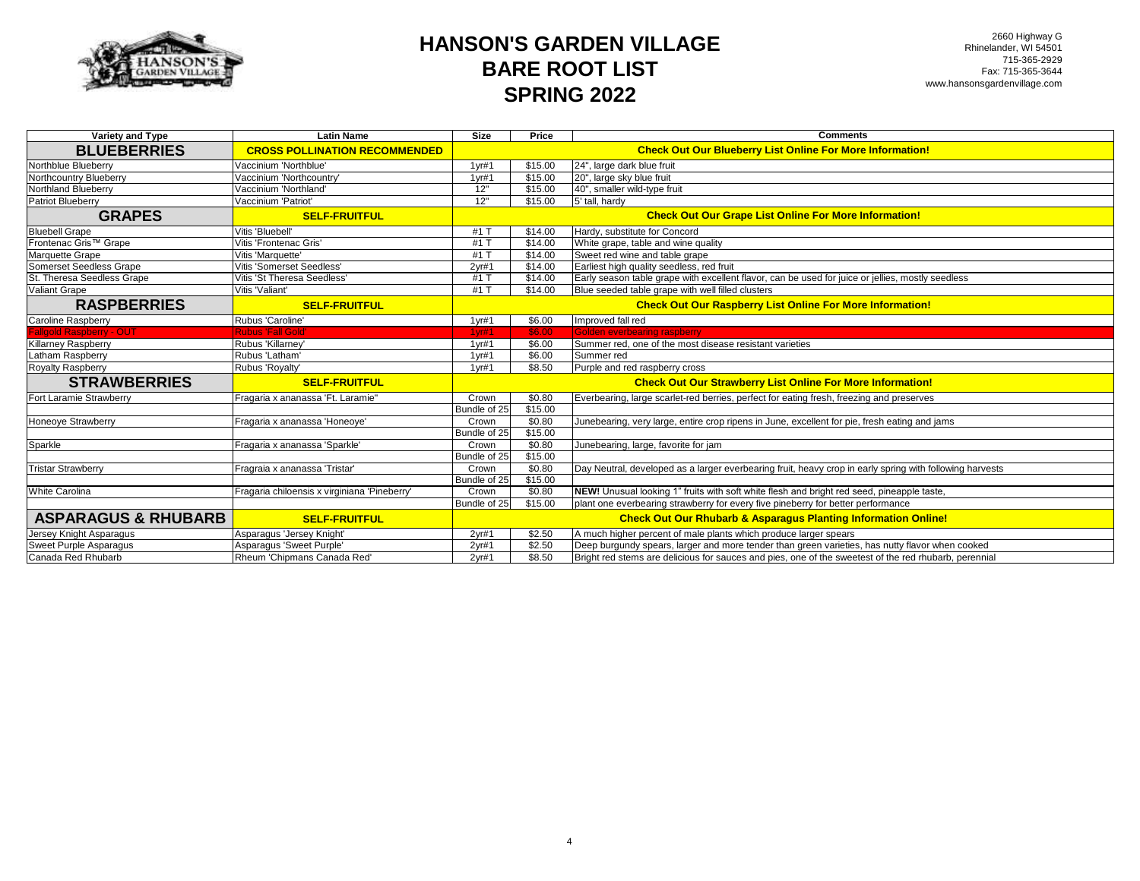

| Variety and Type               | <b>Latin Name</b>                            | <b>Size</b>       | Price   | <b>Comments</b>                                                                                          |
|--------------------------------|----------------------------------------------|-------------------|---------|----------------------------------------------------------------------------------------------------------|
| <b>BLUEBERRIES</b>             | <b>CROSS POLLINATION RECOMMENDED</b>         |                   |         | <b>Check Out Our Blueberry List Online For More Information!</b>                                         |
| Northblue Blueberry            | Vaccinium 'Northblue'                        | 1 <sub>vr#1</sub> | \$15.00 | 24", large dark blue fruit                                                                               |
| Northcountry Blueberry         | Vaccinium 'Northcountry'                     | $1$ yr#1          | \$15.00 | 20", large sky blue fruit                                                                                |
| Northland Blueberry            | Vaccinium 'Northland'                        | 12"               | \$15.00 | 40", smaller wild-type fruit                                                                             |
| Patriot Blueberry              | Vaccinium 'Patriot'                          | 12"               | \$15.00 | 5' tall, hardy                                                                                           |
| <b>GRAPES</b>                  | <b>SELF-FRUITFUL</b>                         |                   |         | <b>Check Out Our Grape List Online For More Information!</b>                                             |
| <b>Bluebell Grape</b>          | Vitis 'Bluebell'                             | #1 1              | \$14.00 | Hardy, substitute for Concord                                                                            |
| Frontenac Gris™ Grape          | Vitis 'Frontenac Gris'                       | #1 ]              | \$14.00 | White grape, table and wine quality                                                                      |
| Marquette Grape                | Vitis 'Marquette'                            | $#1$ $1$          | \$14.00 | Sweet red wine and table grape                                                                           |
| Somerset Seedless Grape        | Vitis 'Somerset Seedless'                    | 2yr#1             | \$14.00 | Earliest high quality seedless, red fruit                                                                |
| St. Theresa Seedless Grape     | Vitis 'St Theresa Seedless'                  | #1 1              | \$14.00 | Early season table grape with excellent flavor, can be used for juice or jellies, mostly seedless        |
| <b>Valiant Grape</b>           | Vitis 'Valiant'                              | $#1$ $1$          | \$14.00 | Blue seeded table grape with well filled clusters                                                        |
| <b>RASPBERRIES</b>             | <b>SELF-FRUITFUL</b>                         |                   |         | <b>Check Out Our Raspberry List Online For More Information!</b>                                         |
| Caroline Raspberry             | Rubus 'Caroline'                             | 1 <sub>yr#1</sub> | \$6.00  | Improved fall red                                                                                        |
| allgold Raspberry - OUT        | <b>Rubus 'Fall Gold'</b>                     | 1 <sub>vr#1</sub> | \$6.00  | Golden everbearing raspberry                                                                             |
| <b>Killarney Raspberry</b>     | Rubus 'Killarney'                            | 1 <sub>yr#1</sub> | \$6.00  | Summer red, one of the most disease resistant varieties                                                  |
| Latham Raspberry               | Rubus 'Latham'                               | 1 <sub>vr#1</sub> | \$6.00  | Summer red                                                                                               |
| Royalty Raspberry              | Rubus 'Royalty'                              | $1$ yr#1          | \$8.50  | Purple and red raspberry cross                                                                           |
| <b>STRAWBERRIES</b>            | <b>SELF-FRUITFUL</b>                         |                   |         | <b>Check Out Our Strawberry List Online For More Information!</b>                                        |
| Fort Laramie Strawberry        | Fragaria x ananassa 'Ft. Laramie"            | Crown             | \$0.80  | Everbearing, large scarlet-red berries, perfect for eating fresh, freezing and preserves                 |
|                                |                                              | Bundle of 25      | \$15.00 |                                                                                                          |
| <b>Honeoye Strawberry</b>      | Fragaria x ananassa 'Honeoye'                | Crown             | \$0.80  | Junebearing, very large, entire crop ripens in June, excellent for pie, fresh eating and jams            |
|                                |                                              | Bundle of 25      | \$15.00 |                                                                                                          |
| Sparkle                        | Fragaria x ananassa 'Sparkle'                | Crown             | \$0.80  | Junebearing, large, favorite for jam                                                                     |
|                                |                                              | Bundle of 25      | \$15.00 |                                                                                                          |
| <b>Tristar Strawberry</b>      | Fragraia x ananassa 'Tristar'                | Crown             | \$0.80  | Day Neutral, developed as a larger everbearing fruit, heavy crop in early spring with following harvests |
|                                |                                              | Bundle of 25      | \$15.00 |                                                                                                          |
| White Carolina                 | Fragaria chiloensis x virginiana 'Pineberry' | Crown             | \$0.80  | NEW! Unusual looking 1" fruits with soft white flesh and bright red seed, pineapple taste,               |
|                                |                                              | Bundle of 25      | \$15.00 | plant one everbearing strawberry for every five pineberry for better performance                         |
| <b>ASPARAGUS &amp; RHUBARB</b> | <b>SELF-FRUITFUL</b>                         |                   |         | <b>Check Out Our Rhubarb &amp; Asparagus Planting Information Online!</b>                                |
| Jersey Knight Asparagus        | Asparagus 'Jersey Knight'                    | 2 <sub>vr#1</sub> | \$2.50  | A much higher percent of male plants which produce larger spears                                         |
| Sweet Purple Asparagus         | Asparagus 'Sweet Purple'                     | 2yr#1             | \$2.50  | Deep burgundy spears, larger and more tender than green varieties, has nutty flavor when cooked          |
| Canada Red Rhubarb             | Rheum 'Chipmans Canada Red'                  | 2yr#1             | \$8.50  | Bright red stems are delicious for sauces and pies, one of the sweetest of the red rhubarb, perennial    |